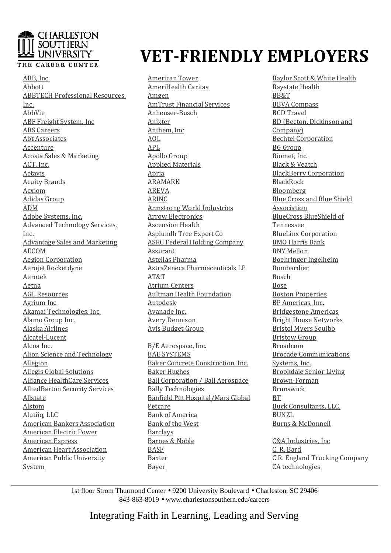### **CHARLESTON SOUTHERN** ! UNIVERSITY

#### THE CAREER CENTER

ABB, Inc. Abbott ABBTECH Professional Resources, Inc. AbbVie ABF Freight System, Inc ABS Careers Abt Associates Accenture Acosta Sales & Marketing ACT, Inc. Actavis Acuity Brands Acxiom Adidas Group ADM Adobe Systems, Inc. Advanced Technology Services, Inc. Advantage Sales and Marketing AECOM Aegion Corporation Aerojet Rocketdyne Aerotek Aetna AGL Resources Agrium Inc Akamai Technologies, Inc. Alamo Group Inc. Alaska Airlines Alcatel-Lucent Alcoa Inc. Alion Science and Technology Allegion Allegis Global Solutions Alliance HealthCare Services AlliedBarton Security Services Allstate Alstom Alutiiq, LLC American Bankers Association American Electric Power American Express American Heart Association American Public University System

# **VET-FRIENDLY EMPLOYERS FRIENDLY**

American Tower AmeriHealth Caritas Amgen AmTrust Financial Services Anheuser-Busch Anixter Anthem, Inc AOL APL Apollo Group Applied Materials Apria ARAMARK AREVA ARINC Armstrong World Industries Arrow Electronics Ascension Health Asplundh Tree Expert Co ASRC Federal Holding Company Assurant Astellas Pharma AstraZeneca Pharmaceuticals LP AT&T Atrium Centers Aultman Health Foundation Autodesk Avanade Inc. Avery Dennison Avis Budget Group

B/E Aerospace, Inc. BAE SYSTEMS Baker Concrete Construction, Inc. Baker Hughes Ball Corporation / Ball Aerospace Bally Technologies Banfield Pet Hospital/Mars Global Petcare Bank of America Bank of the West Barclays Barnes & Noble BASF Baxter Bayer

Baylor Baylor Scott & White Health Baystate Baystate Health BB&T BBVA BBVA Compass BCD BCD Travel BD BD (Becton, Dickinson and Company) Bechtel Bechtel Corporation BG BG Group Biomet, Biomet, Inc. Black Black & Veatch BlackBerry BlackBerry Corporation <u>BlackRock</u> Bloomberg Blue Blue Cross and Blue Shield Association BlueCross BlueCross BlueShield of Tennessee BlueLinx BlueLinx Corporation BMO BMO Harris Bank BNY BNY Mellon Boehringer Boehringer Ingelheim Bombardier Bosch Bose Boston Boston Properties BP BP Americas, Inc. Bridgestone Bridgestone Americas Bright Bright House Networks Bristol Bristol Myers Squibb Bristow Bristow Group Broadcom Brocade Brocade Communications Systems, Systems, Inc. Brookdale Brookdale Senior Living Brown Brown-Forman Brunswick **BT** Buck Buck Consultants, LLC. BUNZL Burns Burns & McDonnell

C&A C&A Industries, Inc <u>C. R. Bard</u> C.R. C.R. England Trucking Company CA CA technologies

1st floor Strom Thurmond Center . 9200 University Boulevard . Charleston, SC 29406 843-863 863-8019 • www.charlestonsouthern.edu/careers

Integrating Faith in Learning, Leading and Serving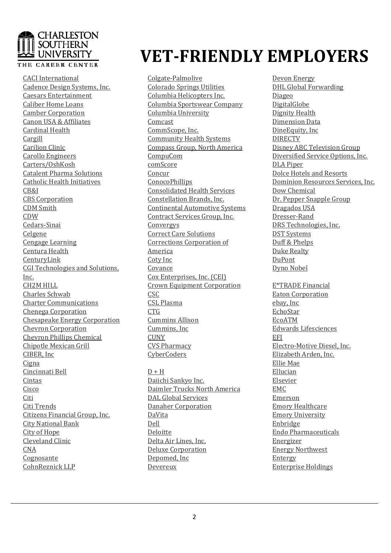### **CHARLESTON SOUTHERN** ! UNIVERSITY

#### THE CAREER CENTER

CACI International Cadence Design Systems, Inc. Caesars Entertainment Caliber Home Loans Camber Corporation Canon USA & Affiliates Cardinal Health Cargill Carilion Clinic Carollo Engineers Carters/OshKosh Catalent Pharma Solutions Catholic Health Initiatives CB&I CBS Corporation CDM Smith CDW Cedars-Sinai Celgene Cengage Learning Centura Health CenturyLink CGI Technologies and Solutions, Inc. CH2M HILL Charles Schwab Charter Communications Chenega Corporation Chesapeake Energy Corporation Chevron Corporation Chevron Phillips Chemical Chipotle Mexican Grill CIBER, Inc Cigna Cincinnati Bell Cintas Cisco Citi Citi Trends Citizens Financial Group, Inc. City National Bank City of Hope Cleveland Clinic CNA Cognosante CohnReznick LLP

# **VET-FRIENDLY EMPLOYERS FRIENDLY**

Colgate-Palmolive Colorado Springs Utilities Columbia Helicopters Inc. Columbia Sportswear Company Columbia University Comcast CommScope, Inc. Community Health Systems Compass Group, North America CompuCom comScore Concur ConocoPhillips Consolidated Health Services Constellation Brands, Inc. Continental Automotive Systems Contract Services Group, Inc. Convergys Correct Care Solutions Corrections Corporation of America Coty Inc Covance Cox Enterprises, Inc. (CEI) Crown Equipment Corporation CSC CSL Plasma CTG Cummins Allison Cummins, Inc **CUNY** CVS Pharmacy **CyberCoders** 

 $D + H$ Daiichi Sankyo Inc. Daimler Trucks North America DAL Global Services Danaher Corporation DaVita Dell **Deloitte** Delta Air Lines, Inc. Deluxe Corporation Depomed, Inc Devereux

Devon Devon Energy DHL DHL Global Forwarding Diageo **DigitalGlobe** Dignity Dignity Health Dimension Dimension Data DineEquity, DineEquity, Inc DIRECTV Disney Disney ABC Television Group Diversified Diversified Service Options, Inc. DLA DLA Piper Dolce Dolce Hotels and Resorts Dominion Dominion Resources Services, Inc. Dow Dow Chemical Dr. Dr. Pepper Snapple Group Dragados Dragados USA Dresser Dresser-Rand DRS DRS Technologies, Inc. DST DST Systems Duff Duff & Phelps Duke Duke Realty DuPont Dyno Dyno Nobel

E\*TRADE E\*TRADE Financial Eaton Eaton Corporation ebay, ebay, Inc EchoStar EcoATM Edwards Edwards Lifesciences EFI Electro Electro-Motive Diesel, Inc. Elizabeth Elizabeth Arden, Inc. Ellie Ellie Mae Ellucian Elsevier EMC Emerson Emory Emory Healthcare Emory Emory University Enbridge Endo Endo Pharmaceuticals Energizer Energy Energy Northwest Entergy Enterprise Enterprise Holdings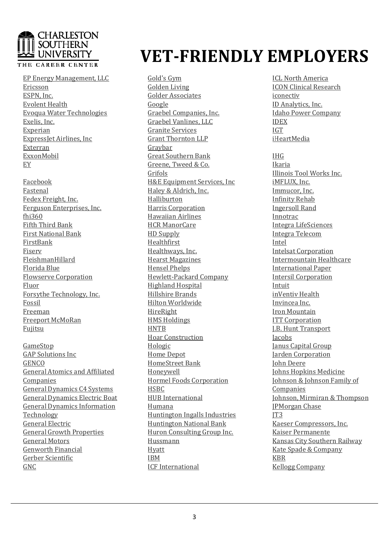### **CHARLESTON SOUTHERN** UNIVERSITY

#### THE CAREER CENTER

EP Energy Management, LLC Ericsson ESPN, Inc. Evolent Health Evoqua Water Technologies Exelis, Inc. Experian ExpressJet Airlines, Inc Exterran ExxonMobil EY

Facebook Fastenal Fedex Freight, Inc. Ferguson Enterprises, Inc. fhi360 Fifth Third Bank First National Bank FirstBank Fiserv FleishmanHillard Florida Blue Flowserve Corporation Fluor Forsythe Technology, Inc. Fossil Freeman Freeport McMoRan Fujitsu

GameStop GAP Solutions Inc **GENCO** General Atomics and Affiliated Companies General Dynamics C4 Systems General Dynamics Electric Boat General Dynamics Information Technology General Electric General Growth Properties General Motors Genworth Financial Gerber Scientific GNC

## **VET-FRIENDLY EMPLOYERS FRIENDLY**

Gold's Gym Golden Living Golder Associates Google Graebel Companies, Inc. Graebel Vanlines, LLC Granite Services Grant Thornton LLP Graybar Great Southern Bank Greene, Tweed & Co. Grifols H&E Equipment Services, Inc Haley & Aldrich, Inc. Halliburton Harris Corporation Hawaiian Airlines HCR ManorCare HD Supply Healthfirst Healthways, Inc. Hearst Magazines Hensel Phelps Hewlett-Packard Company Highland Hospital Hillshire Brands Hilton Worldwide HireRight HMS Holdings **HNTB** Hoar Construction Hologic Home Depot HomeStreet Bank Honeywell Hormel Foods Corporation HSBC HUB International Humana Huntington Ingalls Industries Huntington National Bank Huron Consulting Group Inc. Hussmann Hyatt IBM ICF International

ICL ICL North America ICON ICON Clinical Research iconectiv ID ID Analytics, Inc. Idaho Idaho Power Company IDEX IGT iHeartMedia

IHG Ikaria Illinois Illinois Tool Works Inc. iMFLUX, iMFLUX, Inc. Immucor, Immucor, Inc. Infinity Infinity Rehab Ingersoll Ingersoll Rand Innotrac Integra Integra LifeSciences Integra Integra Telecom Intel Intelsat Intelsat Corporation Intermountain Intermountain Healthcare International International Paper Intersil Intersil Corporation Intuit <u>inVentiv Health</u> Invincea Invincea Inc. Iron Iron Mountain **ITT Corporation** J.B. J.B. Hunt Transport **Jacobs** Janus Janus Capital Group Jarden Jarden Corporation John John Deere Johns Johns Hopkins Medicine Johnson Johnson & Johnson Family of Companies Johnson, Johnson, Mirmiran & Thompson JPMorgan JPMorgan Chase JT3 Kaeser Kaeser Compressors, Inc. Kaiser Kaiser Permanente Kansas Kansas City Southern Railway Kate Kate Spade & Company KBR Kellogg Kellogg Company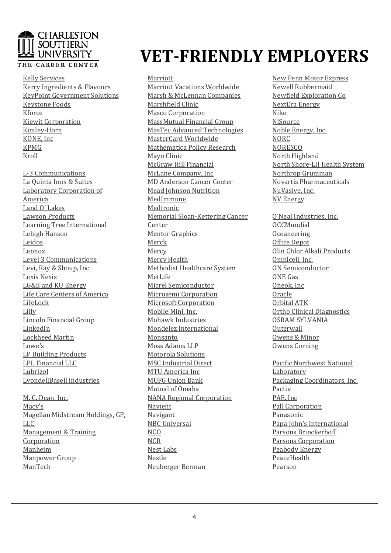### **CHARLESTON SOUTHERN** ! UNIVERSITY

#### THE CAREER CENTER

Kelly Services Kerry Ingredients & Flavours KeyPoint Government Solutions Keystone Foods Kforce Kiewit Corporation Kimley-Horn KONE, Inc KPMG Kroll

L-3 Communications La Quinta Inns & Suites Laboratory Corporation of America Land O' Lakes Lawson Products Learning Tree International Lehigh Hanson Leidos Lennox Level 3 Communications Levi, Ray & Shoup, Inc. Lexis Nexis LG&E and KU Energy Life Care Centers of America LifeLock Lilly Lincoln Financial Group LinkedIn Lockheed Martin Lowe's LP Building Products LPL Financial LLC Lubrizol LyondellBasell Industries

M. C. Dean, Inc. Macy's Magellan Midstream Holdings, GP, LLC Management & Training Corporation Manheim Manpower Group ManTech

## **VET-FRIENDLY EMPLOYERS FRIENDLY**

Marriott Marriott Vacations Worldwide Marsh & McLennan Companies Marshfield Clinic Masco Corporation MassMutual Financial Group MasTec Advanced Technologies MasterCard Worldwide Mathematica Policy Research Mayo Clinic McGraw Hill Financial McLane Company, Inc MD Anderson Cancer Center Mead Johnson Nutrition MedImmune Medtronic Memorial Sloan-Kettering Cancer Center Mentor Graphics Merck Mercy Mercy Health Methodist Healthcare System MetLife Micrel Semiconductor Microsemi Corporation Microsoft Corporation Mobile Mini, Inc. Mohawk Industries Mondelez International Monsanto Moss Adams LLP Motorola Solutions MSC Industrial Direct MTU America Inc MUFG Union Bank Mutual of Omaha NANA Regional Corporation Navient Navigant NBC Universal  $NCO$ **NCR** Nest Labs Nestle Neuberger Berman

New New Penn Motor Express Newell Newell Rubbermaid Newfield Newfield Exploration Co NextEra NextEra Energy Nike NiSource Noble Noble Energy, Inc. NORC **NORESCO** North North Highland North North Shore-LIJ Health System Northrop Northrop Grumman Novartis Novartis Pharmaceuticals NuVasive, NuVasive, Inc. NV NV Energy

O'Neal O'Neal Industries, Inc. OCCMundial O Oceaneering Office Office Depot Olin Olin Chlor Alkali Products Omnicell, Omnicell, Inc. ON ON Semiconductor ONE ONE Gas Oneok, Oneok, Inc Oracle Orbital Orbital ATK Ortho Ortho Clinical Diagnostics OSRAM OSRAM SYLVANIA Outerwall Owens Owens & Minor Owens Owens Corning

Pacific Pacific Northwest National Laboratory Packaging Packaging Coordinators, Inc. Pactiv PAE, PAE, Inc Pall Pall Corporation Panasonic Papa Papa John's International Parsons Parsons Brinckerhoff Parsons Parsons Corporation Peabody Peabody Energy PeaceHealth Pearson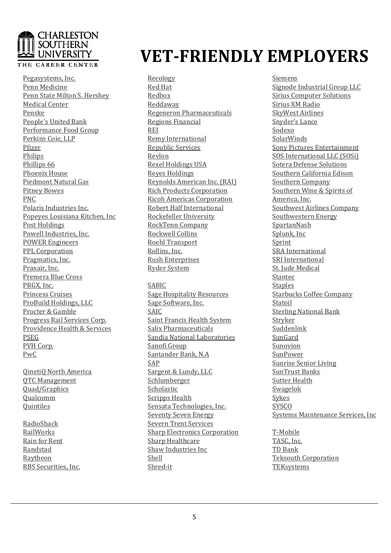### **CHARLESTON SOUTHERN** UNIVERSITY

#### THE CAREER CENTER

Pegasystems, Inc. Penn Medicine Penn State Milton S. Hershey Medical Center Penske People's United Bank Performance Food Group Perkins Coie, LLP Pfizer Philips Phillips 66 Phoenix House Piedmont Natural Gas Pitney Bowes PNC Polaris Industries Inc. Popeyes Louisiana Kitchen, Inc Post Holdings Powell Industries, Inc. POWER Engineers PPL Corporation Pragmatics, Inc. Praxair, Inc. Premera Blue Cross PRGX, Inc. Princess Cruises ProBuild Holdings, LLC Procter & Gamble Progress Rail Services Corp. Providence Health & Services PSEG PVH Corp. PwC

QinetiQ North America QTC Management Quad/Graphics Qualcomm **Ouintiles** 

RadioShack RailWorks Rain for Rent Randstad Raytheon RBS Securities, Inc.

# **VET-FRIENDLY EMPLOYERS FRIENDLY**

Recology Red Hat Redbox Reddaway Regeneron Pharmaceuticals Regions Financial REI Remy International Republic Services Revlon Rexel Holdings USA Reyes Holdings Reynolds American Inc. (RAI) Rich Products Corporation Ricoh Americas Corporation Robert Half International Rockefeller University RockTenn Company Rockwell Collins Roehl Transport Rollins, Inc. Rush Enterprises Ryder System SABIC Sage Hospitality Resources Sage Software, Inc. SAIC Saint Francis Health System Salix Pharmaceuticals Sandia National Laboratories Sanofi Group Santander Bank, N.A SAP Sargent & Lundy, LLC Schlumberger Scholastic Scripps Health Sensata Technologies, Inc. Seventy Seven Energy Severn Trent Services Sharp Electronics Corporation Siemens Signode Signode Industrial Group LLC Sirius Sirius Computer Solutions Sirius Sirius XM Radio SkyWest SkyWest Airlines Snyder's Snyder's Lance Sodexo **SolarWinds** Sony Sony Pictures Entertainment SOS SOS International LLC (SOSi) Sotera Sotera Defense Solutions Southern Southern California Edison Southern Southern Company Southern Southern Wine & Spirits of America, America, Inc. Southwest Southwest Airlines Company Southwestern Southwestern Energy SpartanNash Splunk, Splunk, Inc Sprint SRA SRA International SRI SRI International St. St. Jude Medical Stantec Stantec **Staples** Starbucks Starbucks Coffee Company Statoil Sterling Sterling National Bank Stryker Suddenlink SunGard Sunovion **SunPower** Sunrise Sunrise Senior Living SunTrust SunTrust Banks Sutter Sutter Health Swagelok Sykes **SYSCO** Systems Systems Maintenance Services, Inc

T T-Mobile TASC, TASC, Inc. TD TD Bank Teksouth Teksouth Corporation **TEKsystems** 

Sharp Healthcare Shaw Industries Inc

Shell Shred-it